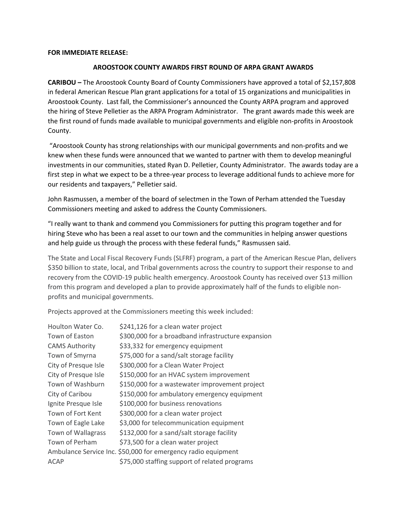## **FOR IMMEDIATE RELEASE:**

## **AROOSTOOK COUNTY AWARDS FIRST ROUND OF ARPA GRANT AWARDS**

**CARIBOU –** The Aroostook County Board of County Commissioners have approved a total of \$2,157,808 in federal American Rescue Plan grant applications for a total of 15 organizations and municipalities in Aroostook County. Last fall, the Commissioner's announced the County ARPA program and approved the hiring of Steve Pelletier as the ARPA Program Administrator. The grant awards made this week are the first round of funds made available to municipal governments and eligible non-profits in Aroostook County.

"Aroostook County has strong relationships with our municipal governments and non-profits and we knew when these funds were announced that we wanted to partner with them to develop meaningful investments in our communities, stated Ryan D. Pelletier, County Administrator. The awards today are a first step in what we expect to be a three-year process to leverage additional funds to achieve more for our residents and taxpayers," Pelletier said.

John Rasmussen, a member of the board of selectmen in the Town of Perham attended the Tuesday Commissioners meeting and asked to address the County Commissioners.

"I really want to thank and commend you Commissioners for putting this program together and for hiring Steve who has been a real asset to our town and the communities in helping answer questions and help guide us through the process with these federal funds," Rasmussen said.

The State and Local Fiscal Recovery Funds (SLFRF) program, a part of the American Rescue Plan, delivers \$350 billion to state, local, and Tribal governments across the country to support their response to and recovery from the COVID-19 public health emergency. Aroostook County has received over \$13 million from this program and developed a plan to provide approximately half of the funds to eligible nonprofits and municipal governments.

Projects approved at the Commissioners meeting this week included:

| \$241,126 for a clean water project                           |
|---------------------------------------------------------------|
| \$300,000 for a broadband infrastructure expansion            |
| \$33,332 for emergency equipment                              |
| \$75,000 for a sand/salt storage facility                     |
| \$300,000 for a Clean Water Project                           |
| \$150,000 for an HVAC system improvement                      |
| \$150,000 for a wastewater improvement project                |
| \$150,000 for ambulatory emergency equipment                  |
| \$100,000 for business renovations                            |
| \$300,000 for a clean water project                           |
| \$3,000 for telecommunication equipment                       |
| \$132,000 for a sand/salt storage facility                    |
| \$73,500 for a clean water project                            |
| Ambulance Service Inc. \$50,000 for emergency radio equipment |
| \$75,000 staffing support of related programs                 |
|                                                               |